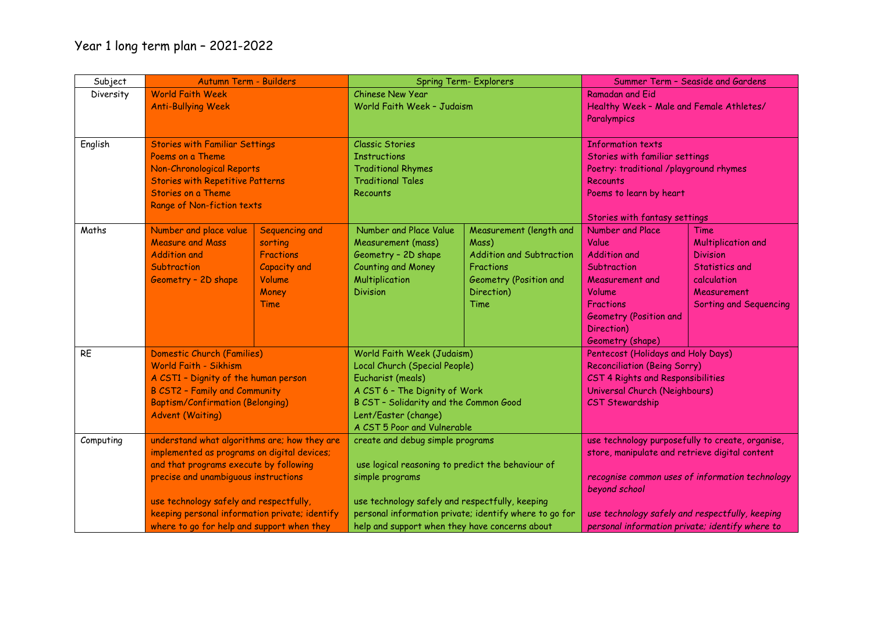| Subject   | Autumn Term - Builders                                                                                                                                                                                                   |                  | <b>Spring Term- Explorers</b>                                                                                                                               |                                 |                                                  | Summer Term - Seaside and Gardens |
|-----------|--------------------------------------------------------------------------------------------------------------------------------------------------------------------------------------------------------------------------|------------------|-------------------------------------------------------------------------------------------------------------------------------------------------------------|---------------------------------|--------------------------------------------------|-----------------------------------|
| Diversity | <b>World Faith Week</b>                                                                                                                                                                                                  |                  | <b>Chinese New Year</b>                                                                                                                                     |                                 | <b>Ramadan and Eid</b>                           |                                   |
|           | <b>Anti-Bullying Week</b>                                                                                                                                                                                                |                  | World Faith Week - Judaism                                                                                                                                  |                                 | Healthy Week - Male and Female Athletes/         |                                   |
|           |                                                                                                                                                                                                                          |                  |                                                                                                                                                             |                                 | Paralympics                                      |                                   |
|           |                                                                                                                                                                                                                          |                  |                                                                                                                                                             |                                 |                                                  |                                   |
| English   | <b>Stories with Familiar Settings</b>                                                                                                                                                                                    |                  | <b>Classic Stories</b>                                                                                                                                      |                                 | <b>Information texts</b>                         |                                   |
|           | Poems on a Theme                                                                                                                                                                                                         |                  | <b>Instructions</b>                                                                                                                                         |                                 | Stories with familiar settings                   |                                   |
|           | Non-Chronological Reports                                                                                                                                                                                                |                  | <b>Traditional Rhymes</b>                                                                                                                                   |                                 | Poetry: traditional /playground rhymes           |                                   |
|           | <b>Stories with Repetitive Patterns</b>                                                                                                                                                                                  |                  | <b>Traditional Tales</b>                                                                                                                                    |                                 | Recounts                                         |                                   |
|           | <b>Stories on a Theme</b>                                                                                                                                                                                                |                  | Recounts                                                                                                                                                    |                                 | Poems to learn by heart                          |                                   |
|           | Range of Non-fiction texts                                                                                                                                                                                               |                  |                                                                                                                                                             |                                 |                                                  |                                   |
|           |                                                                                                                                                                                                                          |                  |                                                                                                                                                             |                                 | Stories with fantasy settings                    |                                   |
| Maths     | Number and place value                                                                                                                                                                                                   | Sequencing and   | Number and Place Value                                                                                                                                      | Measurement (length and         | Number and Place                                 | <b>Time</b>                       |
|           | <b>Measure and Mass</b>                                                                                                                                                                                                  | sorting          | Measurement (mass)                                                                                                                                          | Mass)                           | Value                                            | Multiplication and                |
|           | <b>Addition and</b>                                                                                                                                                                                                      | <b>Fractions</b> | Geometry - 2D shape                                                                                                                                         | <b>Addition and Subtraction</b> | <b>Addition and</b>                              | <b>Division</b>                   |
|           | Subtraction                                                                                                                                                                                                              | Capacity and     | <b>Counting and Money</b>                                                                                                                                   | <b>Fractions</b>                | Subtraction                                      | Statistics and                    |
|           | Geometry - 2D shape                                                                                                                                                                                                      | Volume           | Multiplication                                                                                                                                              | Geometry (Position and          | Measurement and                                  | calculation                       |
|           |                                                                                                                                                                                                                          | Money            | <b>Division</b>                                                                                                                                             | Direction)                      | Volume                                           | Measurement                       |
|           |                                                                                                                                                                                                                          | Time             |                                                                                                                                                             | Time                            | <b>Fractions</b>                                 | Sorting and Sequencing            |
|           |                                                                                                                                                                                                                          |                  |                                                                                                                                                             |                                 | <b>Geometry (Position and</b>                    |                                   |
|           |                                                                                                                                                                                                                          |                  |                                                                                                                                                             |                                 | Direction)                                       |                                   |
|           |                                                                                                                                                                                                                          |                  |                                                                                                                                                             |                                 | Geometry (shape)                                 |                                   |
| <b>RE</b> | Domestic Church (Families)<br><b>World Faith - Sikhism</b><br>A CST1 - Dignity of the human person<br><b>B CST2 - Family and Community</b>                                                                               |                  | World Faith Week (Judaism)<br>Local Church (Special People)<br>Eucharist (meals)<br>A CST 6 - The Dignity of Work                                           |                                 | Pentecost (Holidays and Holy Days)               |                                   |
|           |                                                                                                                                                                                                                          |                  |                                                                                                                                                             |                                 | <b>Reconciliation (Being Sorry)</b>              |                                   |
|           |                                                                                                                                                                                                                          |                  |                                                                                                                                                             |                                 | CST 4 Rights and Responsibilities                |                                   |
|           |                                                                                                                                                                                                                          |                  |                                                                                                                                                             |                                 | Universal Church (Neighbours)                    |                                   |
|           | <b>Baptism/Confirmation (Belonging)</b>                                                                                                                                                                                  |                  | B CST - Solidarity and the Common Good<br>Lent/Easter (change)<br>A CST 5 Poor and Vulnerable                                                               |                                 | <b>CST Stewardship</b>                           |                                   |
|           | <b>Advent (Waiting)</b>                                                                                                                                                                                                  |                  |                                                                                                                                                             |                                 |                                                  |                                   |
|           |                                                                                                                                                                                                                          |                  |                                                                                                                                                             |                                 |                                                  |                                   |
| Computing | understand what algorithms are; how they are<br>implemented as programs on digital devices;<br>and that programs execute by following<br>precise and unambiguous instructions<br>use technology safely and respectfully, |                  | create and debug simple programs<br>use logical reasoning to predict the behaviour of<br>simple programs<br>use technology safely and respectfully, keeping |                                 | use technology purposefully to create, organise, |                                   |
|           |                                                                                                                                                                                                                          |                  |                                                                                                                                                             |                                 | store, manipulate and retrieve digital content   |                                   |
|           |                                                                                                                                                                                                                          |                  |                                                                                                                                                             |                                 |                                                  |                                   |
|           |                                                                                                                                                                                                                          |                  |                                                                                                                                                             |                                 | recognise common uses of information technology  |                                   |
|           |                                                                                                                                                                                                                          |                  |                                                                                                                                                             |                                 | beyond school                                    |                                   |
|           |                                                                                                                                                                                                                          |                  |                                                                                                                                                             |                                 |                                                  |                                   |
|           | keeping personal information private; identify                                                                                                                                                                           |                  | personal information private; identify where to go for                                                                                                      |                                 | use technology safely and respectfully, keeping  |                                   |
|           | where to go for help and support when they                                                                                                                                                                               |                  | help and support when they have concerns about                                                                                                              |                                 | personal information private; identify where to  |                                   |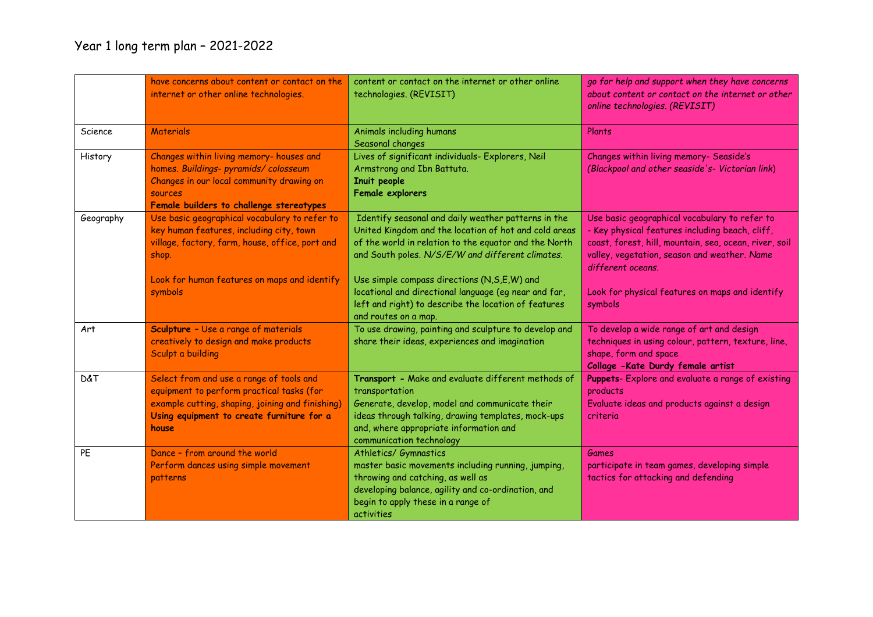## Year 1 long term plan – 2021-2022

|           | have concerns about content or contact on the<br>internet or other online technologies.                                                                                                         | content or contact on the internet or other online<br>technologies. (REVISIT)                                                                                                                                                                      | go for help and support when they have concerns<br>about content or contact on the internet or other<br>online technologies. (REVISIT)                                                                                          |
|-----------|-------------------------------------------------------------------------------------------------------------------------------------------------------------------------------------------------|----------------------------------------------------------------------------------------------------------------------------------------------------------------------------------------------------------------------------------------------------|---------------------------------------------------------------------------------------------------------------------------------------------------------------------------------------------------------------------------------|
| Science   | <b>Materials</b>                                                                                                                                                                                | Animals including humans<br>Seasonal changes                                                                                                                                                                                                       | Plants                                                                                                                                                                                                                          |
| History   | Changes within living memory- houses and<br>homes. Buildings- pyramids/colosseum<br>Changes in our local community drawing on<br><b>SOUPCES</b><br>Female builders to challenge stereotypes     | Lives of significant individuals- Explorers, Neil<br>Armstrong and Ibn Battuta.<br>Inuit people<br>Female explorers                                                                                                                                | Changes within living memory- Seaside's<br>(Blackpool and other seaside's- Victorian link)                                                                                                                                      |
| Geography | Use basic geographical vocabulary to refer to<br>key human features, including city, town<br>village, factory, farm, house, office, port and<br>shop.                                           | Identify seasonal and daily weather patterns in the<br>United Kingdom and the location of hot and cold areas<br>of the world in relation to the equator and the North<br>and South poles. N/S/E/W and different climates.                          | Use basic geographical vocabulary to refer to<br>- Key physical features including beach, cliff,<br>coast, forest, hill, mountain, sea, ocean, river, soil<br>valley, vegetation, season and weather. Name<br>different oceans. |
|           | Look for human features on maps and identify<br>symbols                                                                                                                                         | Use simple compass directions (N,S,E,W) and<br>locational and directional language (eg near and far,<br>left and right) to describe the location of features<br>and routes on a map.                                                               | Look for physical features on maps and identify<br>symbols                                                                                                                                                                      |
| Art       | <b>Sculpture</b> - Use a range of materials<br>creatively to design and make products<br>Sculpt a building                                                                                      | To use drawing, painting and sculpture to develop and<br>share their ideas, experiences and imagination                                                                                                                                            | To develop a wide range of art and design<br>techniques in using colour, pattern, texture, line,<br>shape, form and space<br>Collage - Kate Durdy female artist                                                                 |
| D&T       | Select from and use a range of tools and<br>equipment to perform practical tasks (for<br>example cutting, shaping, joining and finishing)<br>Using equipment to create furniture for a<br>house | Transport - Make and evaluate different methods of<br>transportation<br>Generate, develop, model and communicate their<br>ideas through talking, drawing templates, mock-ups<br>and, where appropriate information and<br>communication technology | Puppets- Explore and evaluate a range of existing<br>products<br>Evaluate ideas and products against a design<br>criteria                                                                                                       |
| PE        | Dance - from around the world<br>Perform dances using simple movement<br>patterns                                                                                                               | Athletics/ Gymnastics<br>master basic movements including running, jumping,<br>throwing and catching, as well as<br>developing balance, agility and co-ordination, and<br>begin to apply these in a range of<br>activities                         | Games<br>participate in team games, developing simple<br>tactics for attacking and defending                                                                                                                                    |